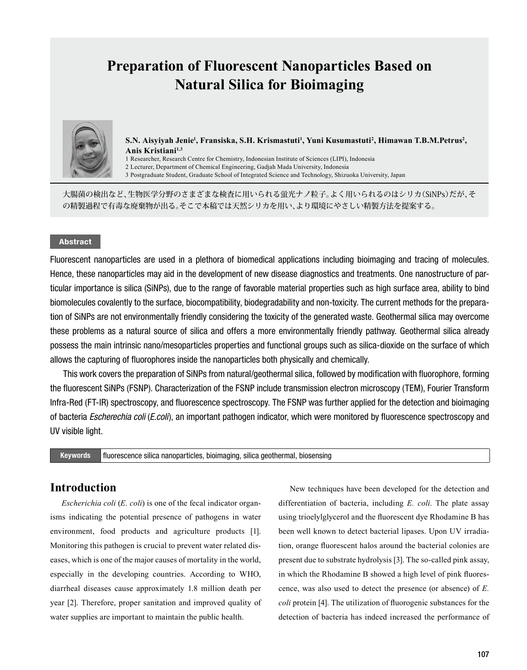# **Preparation of Fluorescent Nanoparticles Based on Natural Silica for Bioimaging**



**S.N. Aisyiyah Jenie<sup>1</sup> , Fransiska, S.H. Krismastuti<sup>1</sup> , Yuni Kusumastuti<sup>2</sup> , Himawan T.B.M.Petrus<sup>2</sup> , Anis Kristiani1,3**

1 Researcher, Research Centre for Chemistry, Indonesian Institute of Sciences (LIPI), Indonesia

2 Lecturer, Department of Chemical Engineering, Gadjah Mada University, Indonesia

3 Postgraduate Student, Graduate School of Integrated Science and Technology, Shizuoka University, Japan

大腸菌の検出など、生物医学分野のさまざまな検査に用いられる蛍光ナノ粒子。よく用いられるのはシリカ(SiNPs)だが、そ の精製過程で有毒な廃棄物が出る。そこで本稿では天然シリカを用い、より環境にやさしい精製方法を提案する。

### Abstract

Fluorescent nanoparticles are used in a plethora of biomedical applications including bioimaging and tracing of molecules. Hence, these nanoparticles may aid in the development of new disease diagnostics and treatments. One nanostructure of particular importance is silica (SiNPs), due to the range of favorable material properties such as high surface area, ability to bind biomolecules covalently to the surface, biocompatibility, biodegradability and non-toxicity. The current methods for the preparation of SiNPs are not environmentally friendly considering the toxicity of the generated waste. Geothermal silica may overcome these problems as a natural source of silica and offers a more environmentally friendly pathway. Geothermal silica already possess the main intrinsic nano/mesoparticles properties and functional groups such as silica-dioxide on the surface of which allows the capturing of fluorophores inside the nanoparticles both physically and chemically.

This work covers the preparation of SiNPs from natural/geothermal silica, followed by modification with fluorophore, forming the fluorescent SiNPs (FSNP). Characterization of the FSNP include transmission electron microscopy (TEM), Fourier Transform Infra-Red (FT-IR) spectroscopy, and fluorescence spectroscopy. The FSNP was further applied for the detection and bioimaging of bacteria *Escherechia coli* (*E.coli*), an important pathogen indicator, which were monitored by fluorescence spectroscopy and UV visible light.

Keywords fluorescence silica nanoparticles, bioimaging, silica geothermal, biosensing

## **Introduction**

*Escherichia coli* (*E. coli*) is one of the fecal indicator organisms indicating the potential presence of pathogens in water environment, food products and agriculture products [1]. Monitoring this pathogen is crucial to prevent water related diseases, which is one of the major causes of mortality in the world, especially in the developing countries. According to WHO, diarrheal diseases cause approximately 1.8 million death per year [2]. Therefore, proper sanitation and improved quality of water supplies are important to maintain the public health.

New techniques have been developed for the detection and differentiation of bacteria, including *E. coli*. The plate assay using trioelylglycerol and the fluorescent dye Rhodamine B has been well known to detect bacterial lipases. Upon UV irradiation, orange fluorescent halos around the bacterial colonies are present due to substrate hydrolysis [3]. The so-called pink assay, in which the Rhodamine B showed a high level of pink fluorescence, was also used to detect the presence (or absence) of *E. coli* protein [4]. The utilization of fluorogenic substances for the detection of bacteria has indeed increased the performance of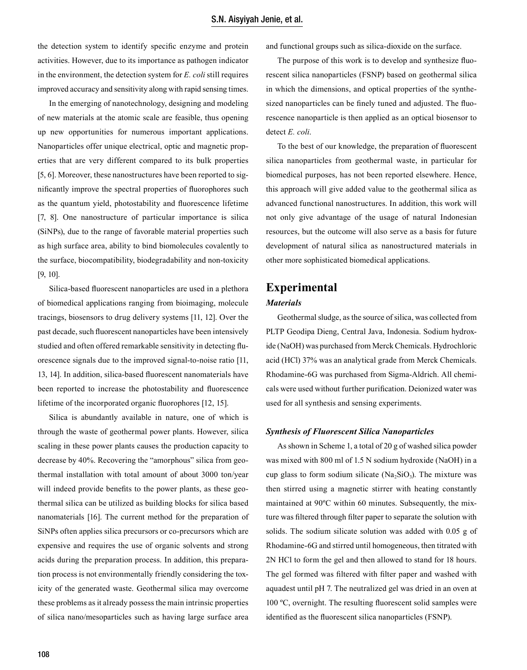the detection system to identify specific enzyme and protein activities. However, due to its importance as pathogen indicator in the environment, the detection system for *E. coli* still requires improved accuracy and sensitivity along with rapid sensing times.

In the emerging of nanotechnology, designing and modeling of new materials at the atomic scale are feasible, thus opening up new opportunities for numerous important applications. Nanoparticles offer unique electrical, optic and magnetic properties that are very different compared to its bulk properties [5, 6]. Moreover, these nanostructures have been reported to significantly improve the spectral properties of fluorophores such as the quantum yield, photostability and fluorescence lifetime [7, 8]. One nanostructure of particular importance is silical (SiNPs), due to the range of favorable material properties such as high surface area, ability to bind biomolecules covalently to the surface, biocompatibility, biodegradability and non-toxicity [9, 10].

Silica-based fluorescent nanoparticles are used in a plethora of biomedical applications ranging from bioimaging, molecule tracings, biosensors to drug delivery systems [11, 12]. Over the past decade, such fluorescent nanoparticles have been intensively studied and often offered remarkable sensitivity in detecting fluorescence signals due to the improved signal-to-noise ratio [11, 13, 14]. In addition, silica-based fluorescent nanomaterials have been reported to increase the photostability and fluorescence lifetime of the incorporated organic fluorophores [12, 15].

Silica is abundantly available in nature, one of which is through the waste of geothermal power plants. However, silica scaling in these power plants causes the production capacity to decrease by 40%. Recovering the "amorphous" silica from geothermal installation with total amount of about 3000 ton/year will indeed provide benefits to the power plants, as these geothermal silica can be utilized as building blocks for silica based nanomaterials [16]. The current method for the preparation of SiNPs often applies silica precursors or co-precursors which are expensive and requires the use of organic solvents and strong acids during the preparation process. In addition, this preparation process is not environmentally friendly considering the toxicity of the generated waste. Geothermal silica may overcome these problems as it already possess the main intrinsic properties of silica nano/mesoparticles such as having large surface area and functional groups such as silica-dioxide on the surface.

The purpose of this work is to develop and synthesize fluorescent silica nanoparticles (FSNP) based on geothermal silica in which the dimensions, and optical properties of the synthesized nanoparticles can be finely tuned and adjusted. The fluorescence nanoparticle is then applied as an optical biosensor to detect *E. coli*.

To the best of our knowledge, the preparation of fluorescent silica nanoparticles from geothermal waste, in particular for biomedical purposes, has not been reported elsewhere. Hence, this approach will give added value to the geothermal silica as advanced functional nanostructures. In addition, this work will not only give advantage of the usage of natural Indonesian resources, but the outcome will also serve as a basis for future development of natural silica as nanostructured materials in other more sophisticated biomedical applications.

# **Experimental**

### *Materials*

Geothermal sludge, as the source of silica, was collected from PLTP Geodipa Dieng, Central Java, Indonesia. Sodium hydroxide (NaOH) was purchased from Merck Chemicals. Hydrochloric acid (HCl) 37% was an analytical grade from Merck Chemicals. Rhodamine-6G was purchased from Sigma-Aldrich. All chemicals were used without further purification. Deionized water was used for all synthesis and sensing experiments.

#### *Synthesis of Fluorescent Silica Nanoparticles*

As shown in Scheme 1, a total of 20 g of washed silica powder was mixed with 800 ml of 1.5 N sodium hydroxide (NaOH) in a cup glass to form sodium silicate ( $Na<sub>2</sub>SiO<sub>3</sub>$ ). The mixture was then stirred using a magnetic stirrer with heating constantly maintained at 90ºC within 60 minutes. Subsequently, the mixture was filtered through filter paper to separate the solution with solids. The sodium silicate solution was added with 0.05 g of Rhodamine-6G and stirred until homogeneous, then titrated with 2N HCl to form the gel and then allowed to stand for 18 hours. The gel formed was filtered with filter paper and washed with aquadest until pH 7. The neutralized gel was dried in an oven at 100 ºC, overnight. The resulting fluorescent solid samples were identified as the fluorescent silica nanoparticles (FSNP).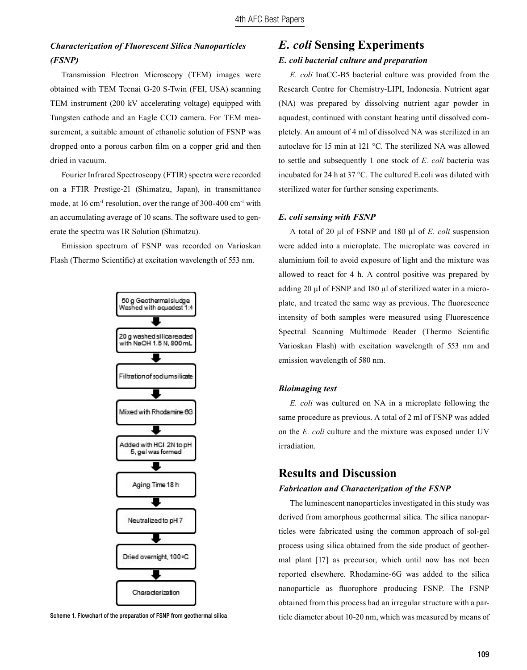## *Characterization of Fluorescent Silica Nanoparticles (FSNP)*

Transmission Electron Microscopy (TEM) images were obtained with TEM Tecnai G-20 S-Twin (FEI, USA) scanning TEM instrument (200 kV accelerating voltage) equipped with Tungsten cathode and an Eagle CCD camera. For TEM measurement, a suitable amount of ethanolic solution of FSNP was dropped onto a porous carbon film on a copper grid and then dried in vacuum.

Fourier Infrared Spectroscopy (FTIR) spectra were recorded on a FTIR Prestige-21 (Shimatzu, Japan), in transmittance mode, at 16 cm<sup>-1</sup> resolution, over the range of 300-400 cm<sup>-1</sup> with an accumulating average of 10 scans. The software used to generate the spectra was IR Solution (Shimatzu).

Emission spectrum of FSNP was recorded on Varioskan Flash (Thermo Scientific) at excitation wavelength of 553 nm.



Scheme 1. Flowchart of the preparation of FSNP from geothermal silica

## *E. coli* **Sensing Experiments** *E. coli bacterial culture and preparation*

*E. coli* InaCC-B5 bacterial culture was provided from the Research Centre for Chemistry-LIPI, Indonesia. Nutrient agar (NA) was prepared by dissolving nutrient agar powder in aquadest, continued with constant heating until dissolved completely. An amount of 4 ml of dissolved NA was sterilized in an autoclave for 15 min at 121 °C. The sterilized NA was allowed to settle and subsequently 1 one stock of *E. coli* bacteria was incubated for 24 h at 37 °C. The cultured E.coli was diluted with sterilized water for further sensing experiments.

#### *E. coli sensing with FSNP*

A total of 20 µl of FSNP and 180 µl of *E. coli* suspension were added into a microplate. The microplate was covered in aluminium foil to avoid exposure of light and the mixture was allowed to react for 4 h. A control positive was prepared by adding 20 µl of FSNP and 180 µl of sterilized water in a microplate, and treated the same way as previous. The fluorescence intensity of both samples were measured using Fluorescence Spectral Scanning Multimode Reader (Thermo Scientific Varioskan Flash) with excitation wavelength of 553 nm and emission wavelength of 580 nm.

#### *Bioimaging test*

*E. coli* was cultured on NA in a microplate following the same procedure as previous. A total of 2 ml of FSNP was added on the *E. coli* culture and the mixture was exposed under UV irradiation.

## **Results and Discussion**

#### *Fabrication and Characterization of the FSNP*

The luminescent nanoparticles investigated in this study was derived from amorphous geothermal silica. The silica nanoparticles were fabricated using the common approach of sol-gel process using silica obtained from the side product of geothermal plant [17] as precursor, which until now has not been reported elsewhere. Rhodamine-6G was added to the silica nanoparticle as fluorophore producing FSNP. The FSNP obtained from this process had an irregular structure with a particle diameter about 10-20 nm, which was measured by means of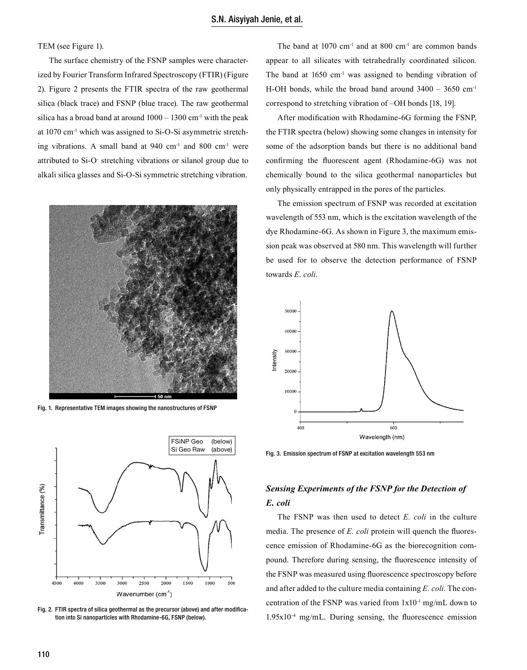TEM (see Figure 1).

The surface chemistry of the FSNP samples were characterized by Fourier Transform Infrared Spectroscopy (FTIR) (Figure 2). Figure 2 presents the FTIR spectra of the raw geothermal silica (black trace) and FSNP (blue trace). The raw geothermal silica has a broad band at around  $1000 - 1300$  cm<sup>-1</sup> with the peak at 1070 cm-1 which was assigned to Si-O-Si asymmetric stretching vibrations. A small band at  $940 \text{ cm}^{-1}$  and  $800 \text{ cm}^{-1}$  were attributed to Si-O- stretching vibrations or silanol group due to alkali silica glasses and Si-O-Si symmetric stretching vibration.



Fig. 1. Representative TEM images showing the nanostructures of FSNP



Fig. 2. FTIR spectra of silica geothermal as the precursor (above) and after modification into Si nanoparticles with Rhodamine-6G, FSNP (below).

The band at  $1070 \text{ cm}^{-1}$  and at  $800 \text{ cm}^{-1}$  are common bands appear to all silicates with tetrahedrally coordinated silicon. The band at  $1650 \text{ cm}^{-1}$  was assigned to bending vibration of H-OH bonds, while the broad band around  $3400 - 3650$  cm<sup>-1</sup> correspond to stretching vibration of –OH bonds [18, 19].

After modification with Rhodamine-6G forming the FSNP, the FTIR spectra (below) showing some changes in intensity for some of the adsorption bands but there is no additional band confirming the fluorescent agent (Rhodamine-6G) was not chemically bound to the silica geothermal nanoparticles but only physically entrapped in the pores of the particles.

The emission spectrum of FSNP was recorded at excitation wavelength of 553 nm, which is the excitation wavelength of the dye Rhodamine-6G. As shown in Figure 3, the maximum emission peak was observed at 580 nm. This wavelength will further be used for to observe the detection performance of FSNP towards *E. coli*.



Fig. 3. Emission spectrum of FSNP at excitation wavelength 553 nm

# *Sensing Experiments of the FSNP for the Detection of E. coli*

The FSNP was then used to detect *E. coli* in the culture media. The presence of *E. coli* protein will quench the fluorescence emission of Rhodamine-6G as the biorecognition compound. Therefore during sensing, the fluorescence intensity of the FSNP was measured using fluorescence spectroscopy before and after added to the culture media containing *E. coli*. The concentration of the FSNP was varied from 1x10-1 mg/mL down to  $1.95x10^{-4}$  mg/mL. During sensing, the fluorescence emission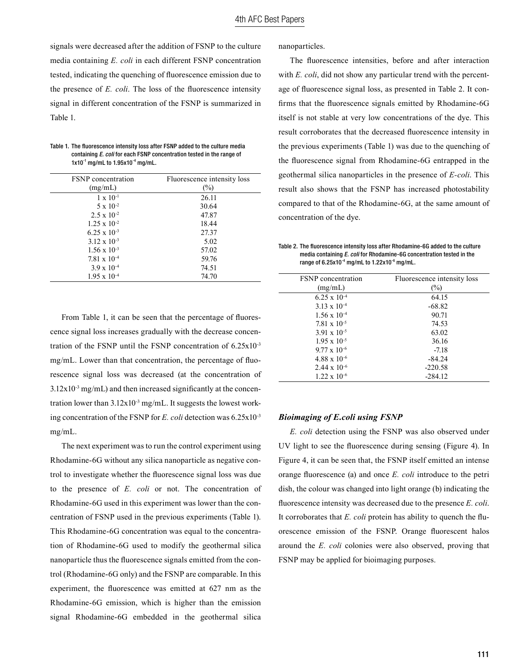signals were decreased after the addition of FSNP to the culture media containing *E. coli* in each different FSNP concentration tested, indicating the quenching of fluorescence emission due to the presence of *E. coli*. The loss of the fluorescence intensity signal in different concentration of the FSNP is summarized in Table 1.

| Table 1. The fluorescence intensity loss after FSNP added to the culture media |
|--------------------------------------------------------------------------------|
| containing <i>E. coli</i> for each FSNP concentration tested in the range of   |
| 1x10 $^{-1}$ mg/mL to 1.95x10 $^{-4}$ mg/mL.                                   |

| <b>FSNP</b> concentration | Fluorescence intensity loss |
|---------------------------|-----------------------------|
| (mg/mL)                   | $\left(\%\right)$           |
| $1 \times 10^{-1}$        | 26.11                       |
| $5 \times 10^{-2}$        | 30.64                       |
| $2.5 \times 10^{-2}$      | 47.87                       |
| $1.25 \times 10^{-2}$     | 18.44                       |
| $6.25 \times 10^{-3}$     | 27.37                       |
| $3.12 \times 10^{-3}$     | 5.02                        |
| $1.56 \times 10^{-3}$     | 57.02                       |
| $7.81 \times 10^{-4}$     | 59.76                       |
| $3.9 \times 10^{-4}$      | 74.51                       |
| $1.95 \times 10^{-4}$     | 74.70                       |

From Table 1, it can be seen that the percentage of fluorescence signal loss increases gradually with the decrease concentration of the FSNP until the FSNP concentration of 6.25x10-3 mg/mL. Lower than that concentration, the percentage of fluorescence signal loss was decreased (at the concentration of  $3.12x10^{-3}$  mg/mL) and then increased significantly at the concentration lower than  $3.12 \times 10^{-3}$  mg/mL. It suggests the lowest working concentration of the FSNP for *E. coli* detection was 6.25x10-3 mg/mL.

The next experiment was to run the control experiment using Rhodamine-6G without any silica nanoparticle as negative control to investigate whether the fluorescence signal loss was due to the presence of *E. coli* or not. The concentration of Rhodamine-6G used in this experiment was lower than the concentration of FSNP used in the previous experiments (Table 1). This Rhodamine-6G concentration was equal to the concentration of Rhodamine-6G used to modify the geothermal silica nanoparticle thus the fluorescence signals emitted from the control (Rhodamine-6G only) and the FSNP are comparable. In this experiment, the fluorescence was emitted at 627 nm as the Rhodamine-6G emission, which is higher than the emission signal Rhodamine-6G embedded in the geothermal silica nanoparticles.

The fluorescence intensities, before and after interaction with *E. coli*, did not show any particular trend with the percentage of fluorescence signal loss, as presented in Table 2. It confirms that the fluorescence signals emitted by Rhodamine-6G itself is not stable at very low concentrations of the dye. This result corroborates that the decreased fluorescence intensity in the previous experiments (Table 1) was due to the quenching of the fluorescence signal from Rhodamine-6G entrapped in the geothermal silica nanoparticles in the presence of *E-coli*. This result also shows that the FSNP has increased photostability compared to that of the Rhodamine-6G, at the same amount of concentration of the dye.

Table 2. The fluorescence intensity loss after Rhodamine-6G added to the culture media containing *E. coli* for Rhodamine-6G concentration tested in the range of  $6.25x10^{-4}$  mg/mL to  $1.22x10^{-6}$  mg/mL.

| <b>FSNP</b> concentration | Fluorescence intensity loss |
|---------------------------|-----------------------------|
| (mg/mL)                   | $(\%)$                      |
| $6.25 \times 10^{-4}$     | 64.15                       |
| $3.13 \times 10^{-4}$     | $-68.82$                    |
| $1.56 \times 10^{-4}$     | 90.71                       |
| $7.81 \times 10^{-5}$     | 74.53                       |
| $3.91 \times 10^{-5}$     | 63.02                       |
| $1.95 \times 10^{-5}$     | 36.16                       |
| $9.77 \times 10^{-6}$     | $-7.18$                     |
| $4.88 \times 10^{-6}$     | $-84.24$                    |
| $2.44 \times 10^{-6}$     | $-220.58$                   |
| $1.22 \times 10^{-6}$     | $-284.12$                   |
|                           |                             |

#### *Bioimaging of E.coli using FSNP*

*E. coli* detection using the FSNP was also observed under UV light to see the fluorescence during sensing (Figure 4). In Figure 4, it can be seen that, the FSNP itself emitted an intense orange fluorescence (a) and once *E. coli* introduce to the petri dish, the colour was changed into light orange (b) indicating the fluorescence intensity was decreased due to the presence *E. coli*. It corroborates that *E. coli* protein has ability to quench the fluorescence emission of the FSNP. Orange fluorescent halos around the *E. coli* colonies were also observed, proving that FSNP may be applied for bioimaging purposes.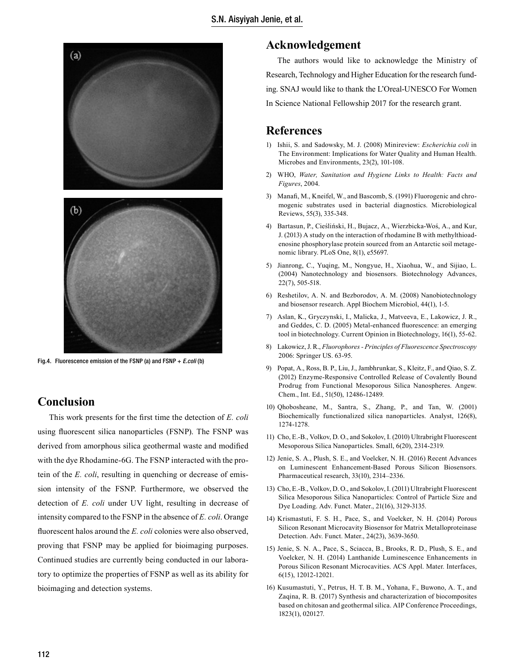

Fig.4. Fluorescence emission of the FSNP (a) and FSNP + *E.coli* (b)

## **Conclusion**

This work presents for the first time the detection of *E. coli* using fluorescent silica nanoparticles (FSNP). The FSNP was derived from amorphous silica geothermal waste and modified with the dye Rhodamine-6G. The FSNP interacted with the protein of the *E. coli*, resulting in quenching or decrease of emission intensity of the FSNP. Furthermore, we observed the detection of *E. coli* under UV light, resulting in decrease of intensity compared to the FSNP in the absence of *E. coli*. Orange fluorescent halos around the *E. coli* colonies were also observed, proving that FSNP may be applied for bioimaging purposes. Continued studies are currently being conducted in our laboratory to optimize the properties of FSNP as well as its ability for bioimaging and detection systems.

## **Acknowledgement**

The authors would like to acknowledge the Ministry of Research, Technology and Higher Education for the research funding. SNAJ would like to thank the L'Oreal-UNESCO For Women In Science National Fellowship 2017 for the research grant.

## **References**

- 1) Ishii, S. and Sadowsky, M. J. (2008) Minireview: *Escherichia coli* in The Environment: Implications for Water Quality and Human Health. Microbes and Environments, 23(2), 101-108.
- 2) WHO, *Water, Sanitation and Hygiene Links to Health: Facts and Figures*, 2004.
- 3) Manafi, M., Kneifel, W., and Bascomb, S. (1991) Fluorogenic and chromogenic substrates used in bacterial diagnostics. Microbiological Reviews, 55(3), 335-348.
- 4) Bartasun, P., Cieśliński, H., Bujacz, A., Wierzbicka-Woś, A., and Kur, J. (2013) A study on the interaction of rhodamine B with methylthioadenosine phosphorylase protein sourced from an Antarctic soil metagenomic library. PLoS One, 8(1), e55697.
- 5) Jianrong, C., Yuqing, M., Nongyue, H., Xiaohua, W., and Sijiao, L. (2004) Nanotechnology and biosensors. Biotechnology Advances, 22(7), 505-518.
- 6) Reshetilov, A. N. and Bezborodov, A. M. (2008) Nanobiotechnology and biosensor research. Appl Biochem Microbiol, 44(1), 1-5.
- 7) Aslan, K., Gryczynski, I., Malicka, J., Matveeva, E., Lakowicz, J. R., and Geddes, C. D. (2005) Metal-enhanced fluorescence: an emerging tool in biotechnology. Current Opinion in Biotechnology, 16(1), 55-62.
- 8) Lakowicz, J. R., *Fluorophores Principles of Fluorescence Spectroscopy*  2006: Springer US. 63-95.
- 9) Popat, A., Ross, B. P., Liu, J., Jambhrunkar, S., Kleitz, F., and Qiao, S. Z. (2012) Enzyme-Responsive Controlled Release of Covalently Bound Prodrug from Functional Mesoporous Silica Nanospheres. Angew. Chem., Int. Ed., 51(50), 12486-12489.
- 10) Qhobosheane, M., Santra, S., Zhang, P., and Tan, W. (2001) Biochemically functionalized silica nanoparticles. Analyst, 126(8), 1274-1278.
- 11) Cho, E.-B., Volkov, D. O., and Sokolov, I. (2010) Ultrabright Fluorescent Mesoporous Silica Nanoparticles. Small, 6(20), 2314-2319.
- 12) Jenie, S. A., Plush, S. E., and Voelcker, N. H. (2016) Recent Advances on Luminescent Enhancement-Based Porous Silicon Biosensors. Pharmaceutical research, 33(10), 2314–2336.
- 13) Cho, E.-B., Volkov, D. O., and Sokolov, I. (2011) Ultrabright Fluorescent Silica Mesoporous Silica Nanoparticles: Control of Particle Size and Dye Loading. Adv. Funct. Mater., 21(16), 3129-3135.
- 14) Krismastuti, F. S. H., Pace, S., and Voelcker, N. H. (2014) Porous Silicon Resonant Microcavity Biosensor for Matrix Metalloproteinase Detection. Adv. Funct. Mater., 24(23), 3639-3650.
- 15) Jenie, S. N. A., Pace, S., Sciacca, B., Brooks, R. D., Plush, S. E., and Voelcker, N. H. (2014) Lanthanide Luminescence Enhancements in Porous Silicon Resonant Microcavities. ACS Appl. Mater. Interfaces, 6(15), 12012-12021.
- 16) Kusumastuti, Y., Petrus, H. T. B. M., Yohana, F., Buwono, A. T., and Zaqina, R. B. (2017) Synthesis and characterization of biocomposites based on chitosan and geothermal silica. AIP Conference Proceedings, 1823(1), 020127.